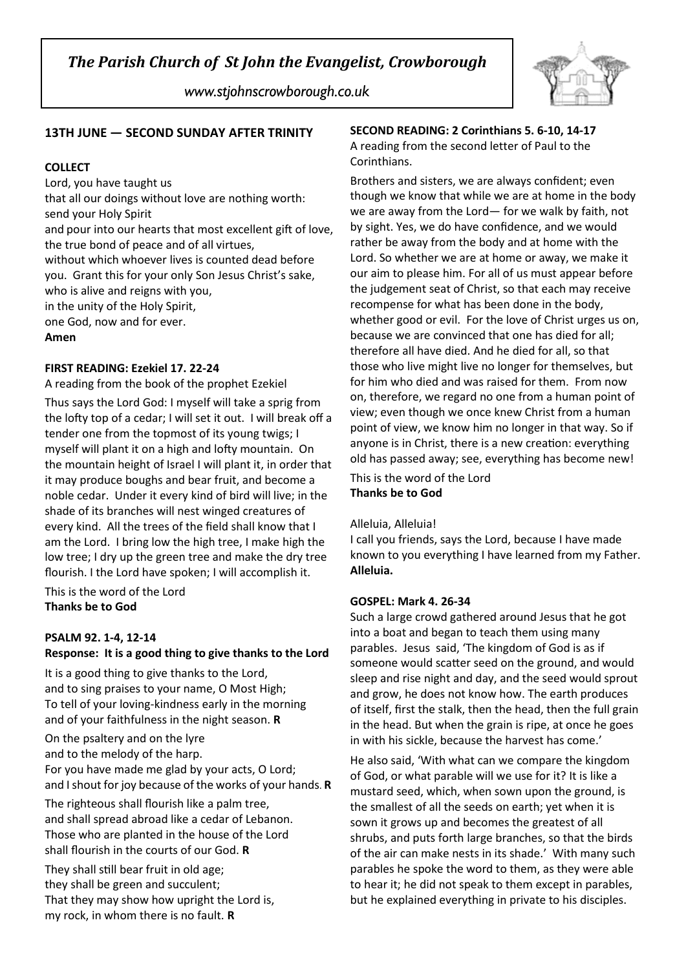*www.stjohnscrowborough.co.uk*



### **13TH JUNE — SECOND SUNDAY AFTER TRINITY**

#### **COLLECT**

Lord, you have taught us

that all our doings without love are nothing worth: send your Holy Spirit

and pour into our hearts that most excellent gift of love, the true bond of peace and of all virtues,

without which whoever lives is counted dead before you. Grant this for your only Son Jesus Christ's sake, who is alive and reigns with you,

in the unity of the Holy Spirit,

one God, now and for ever.

#### **Amen**

#### **FIRST READING: Ezekiel 17. 22-24**

A reading from the book of the prophet Ezekiel Thus says the Lord God: I myself will take a sprig from the lofty top of a cedar; I will set it out. I will break off a tender one from the topmost of its young twigs; I myself will plant it on a high and lofty mountain. On the mountain height of Israel I will plant it, in order that it may produce boughs and bear fruit, and become a noble cedar. Under it every kind of bird will live; in the shade of its branches will nest winged creatures of every kind. All the trees of the field shall know that I am the Lord. I bring low the high tree, I make high the low tree; I dry up the green tree and make the dry tree flourish. I the Lord have spoken; I will accomplish it.

This is the word of the Lord **Thanks be to God**

#### **PSALM 92. 1-4, 12-14 Response: It is a good thing to give thanks to the Lord**

It is a good thing to give thanks to the Lord, and to sing praises to your name, O Most High; To tell of your loving-kindness early in the morning and of your faithfulness in the night season. **R**

On the psaltery and on the lyre and to the melody of the harp. For you have made me glad by your acts, O Lord; and Ishout for joy because of the works of your hands. **R**

The righteous shall flourish like a palm tree, and shall spread abroad like a cedar of Lebanon. Those who are planted in the house of the Lord shall flourish in the courts of our God. **R** 

They shall still bear fruit in old age; they shall be green and succulent; That they may show how upright the Lord is, my rock, in whom there is no fault. **R**

## **SECOND READING: 2 Corinthians 5. 6-10, 14-17** A reading from the second letter of Paul to the Corinthians.

Brothers and sisters, we are always confident; even though we know that while we are at home in the body we are away from the Lord— for we walk by faith, not by sight. Yes, we do have confidence, and we would rather be away from the body and at home with the Lord. So whether we are at home or away, we make it our aim to please him. For all of us must appear before the judgement seat of Christ, so that each may receive recompense for what has been done in the body, whether good or evil. For the love of Christ urges us on, because we are convinced that one has died for all; therefore all have died. And he died for all, so that those who live might live no longer for themselves, but for him who died and was raised for them. From now on, therefore, we regard no one from a human point of view; even though we once knew Christ from a human point of view, we know him no longer in that way. So if anyone is in Christ, there is a new creation: everything old has passed away; see, everything has become new!

This is the word of the Lord **Thanks be to God**

#### Alleluia, Alleluia!

I call you friends, says the Lord, because I have made known to you everything I have learned from my Father. **Alleluia.**

#### **GOSPEL: Mark 4. 26-34**

Such a large crowd gathered around Jesus that he got into a boat and began to teach them using many parables. Jesus said, 'The kingdom of God is as if someone would scatter seed on the ground, and would sleep and rise night and day, and the seed would sprout and grow, he does not know how. The earth produces of itself, first the stalk, then the head, then the full grain in the head. But when the grain is ripe, at once he goes in with his sickle, because the harvest has come.'

He also said, 'With what can we compare the kingdom of God, or what parable will we use for it? It is like a mustard seed, which, when sown upon the ground, is the smallest of all the seeds on earth; yet when it is sown it grows up and becomes the greatest of all shrubs, and puts forth large branches, so that the birds of the air can make nests in its shade.' With many such parables he spoke the word to them, as they were able to hear it; he did not speak to them except in parables, but he explained everything in private to his disciples.